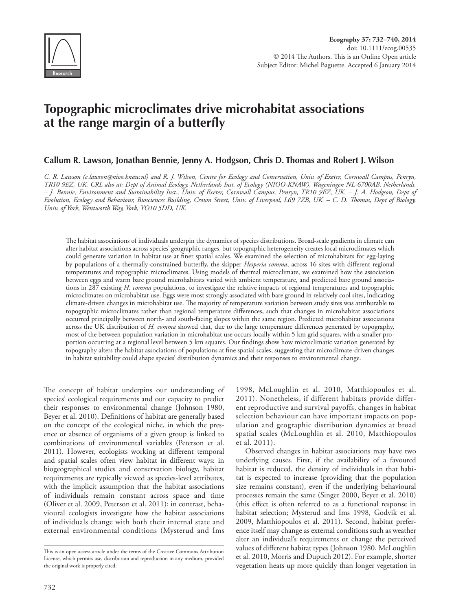

# **Topographic microclimates drive microhabitat associations at the range margin of a butterfly**

## **Callum R. Lawson, Jonathan Bennie, Jenny A. Hodgson, Chris D. Thomas and Robert J. Wilson**

*C. R. Lawson (c.lawson@nioo.knaw.nl) and R. J. Wilson, Centre for Ecology and Conservation, Univ. of Exeter, Cornwall Campus, Penryn, TR10 9EZ, UK. CRL also at: Dept of Animal Ecology, Netherlands Inst. of Ecology (NIOO-KNAW), Wageningen NL-6700AB, Netherlands. – J. Bennie, Environment and Sustainability Inst., Univ. of Exeter, Cornwall Campus, Penryn, TR10 9EZ, UK. – J. A. Hodgson, Dept of Evolution, Ecology and Behaviour, Biosciences Building, Crown Street, Univ. of Liverpool, L69 7ZB, UK. – C. D. Thomas, Dept of Biology, Univ. of York, Wentworth Way, York, YO10 5DD, UK.*

The habitat associations of individuals underpin the dynamics of species distributions. Broad-scale gradients in climate can alter habitat associations across species' geographic ranges, but topographic heterogeneity creates local microclimates which could generate variation in habitat use at finer spatial scales. We examined the selection of microhabitats for egg-laying by populations of a thermally-constrained butterfly, the skipper *Hesperia comma*, across 16 sites with different regional temperatures and topographic microclimates. Using models of thermal microclimate, we examined how the association between eggs and warm bare ground microhabitats varied with ambient temperature, and predicted bare ground associations in 287 existing *H. comma* populations, to investigate the relative impacts of regional temperatures and topographic microclimates on microhabitat use. Eggs were most strongly associated with bare ground in relatively cool sites, indicating climate-driven changes in microhabitat use. The majority of temperature variation between study sites was attributable to topographic microclimates rather than regional temperature differences, such that changes in microhabitat associations occurred principally between north- and south-facing slopes within the same region. Predicted microhabitat associations across the UK distribution of *H. comma* showed that, due to the large temperature differences generated by topography, most of the between-population variation in microhabitat use occurs locally within 5 km grid squares, with a smaller proportion occurring at a regional level between 5 km squares. Our findings show how microclimatic variation generated by topography alters the habitat associations of populations at fine spatial scales, suggesting that microclimate-driven changes in habitat suitability could shape species' distribution dynamics and their responses to environmental change.

The concept of habitat underpins our understanding of species' ecological requirements and our capacity to predict their responses to environmental change (Johnson 1980, Beyer et al. 2010). Definitions of habitat are generally based on the concept of the ecological niche, in which the presence or absence of organisms of a given group is linked to combinations of environmental variables (Peterson et al. 2011). However, ecologists working at different temporal and spatial scales often view habitat in different ways: in biogeographical studies and conservation biology, habitat requirements are typically viewed as species-level attributes, with the implicit assumption that the habitat associations of individuals remain constant across space and time (Oliver et al. 2009, Peterson et al. 2011); in contrast, behavioural ecologists investigate how the habitat associations of individuals change with both their internal state and external environmental conditions (Mysterud and Ims

1998, McLoughlin et al. 2010, Matthiopoulos et al. 2011). Nonetheless, if different habitats provide different reproductive and survival payoffs, changes in habitat selection behaviour can have important impacts on population and geographic distribution dynamics at broad spatial scales (McLoughlin et al. 2010, Matthiopoulos et al. 2011).

Observed changes in habitat associations may have two underlying causes. First, if the availability of a favoured habitat is reduced, the density of individuals in that habitat is expected to increase (providing that the population size remains constant), even if the underlying behavioural processes remain the same (Singer 2000, Beyer et al. 2010) (this effect is often referred to as a functional response in habitat selection; Mysterud and Ims 1998, Godvik et al. 2009, Matthiopoulos et al. 2011). Second, habitat preference itself may change as external conditions such as weather alter an individual's requirements or change the perceived values of different habitat types (Johnson 1980, McLoughlin et al. 2010, Morris and Dupuch 2012). For example, shorter vegetation heats up more quickly than longer vegetation in

This is an open access article under the terms of the Creative Commons Attribution License, which permits use, distribution and reproduction in any medium, provided the original work is properly cited.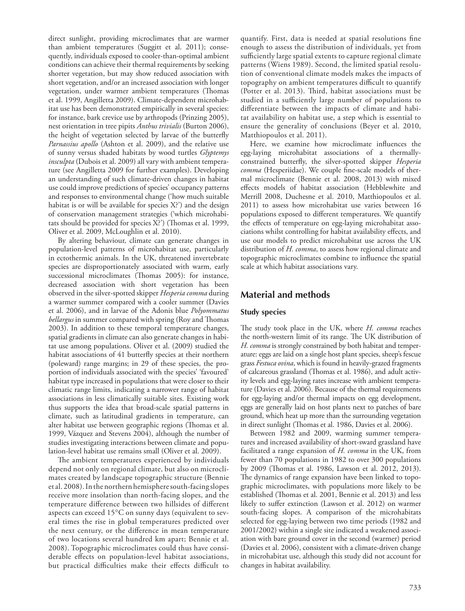direct sunlight, providing microclimates that are warmer than ambient temperatures (Suggitt et al. 2011); consequently, individuals exposed to cooler-than-optimal ambient conditions can achieve their thermal requirements by seeking shorter vegetation, but may show reduced association with short vegetation, and/or an increased association with longer vegetation, under warmer ambient temperatures (Thomas et al. 1999, Angilletta 2009). Climate-dependent microhabitat use has been demonstrated empirically in several species: for instance, bark crevice use by arthropods (Prinzing 2005), nest orientation in tree pipits *Anthus trivialis* (Burton 2006), the height of vegetation selected by larvae of the butterfly *Parnassius apollo* (Ashton et al. 2009), and the relative use of sunny versus shaded habitats by wood turtles *Glyptemys insculpta* (Dubois et al. 2009) all vary with ambient temperature (see Angilletta 2009 for further examples). Developing an understanding of such climate-driven changes in habitat use could improve predictions of species' occupancy patterns and responses to environmental change ('how much suitable habitat is or will be available for species X?') and the design of conservation management strategies ('which microhabitats should be provided for species X?') (Thomas et al. 1999, Oliver et al. 2009, McLoughlin et al. 2010).

By altering behaviour, climate can generate changes in population-level patterns of microhabitat use, particularly in ectothermic animals. In the UK, threatened invertebrate species are disproportionately associated with warm, early successional microclimates (Thomas 2005): for instance, decreased association with short vegetation has been observed in the silver-spotted skipper *Hesperia comma* during a warmer summer compared with a cooler summer (Davies et al. 2006), and in larvae of the Adonis blue *Polyommatus bellargus* in summer compared with spring (Roy and Thomas 2003). In addition to these temporal temperature changes, spatial gradients in climate can also generate changes in habitat use among populations. Oliver et al. (2009) studied the habitat associations of 41 butterfly species at their northern (poleward) range margins; in 29 of these species, the proportion of individuals associated with the species' 'favoured' habitat type increased in populations that were closer to their climatic range limits, indicating a narrower range of habitat associations in less climatically suitable sites. Existing work thus supports the idea that broad-scale spatial patterns in climate, such as latitudinal gradients in temperature, can alter habitat use between geographic regions (Thomas et al. 1999, Vázquez and Stevens 2004), although the number of studies investigating interactions between climate and population-level habitat use remains small (Oliver et al. 2009).

The ambient temperatures experienced by individuals depend not only on regional climate, but also on microclimates created by landscape topographic structure (Bennie et al. 2008). In the northern hemisphere south-facing slopes receive more insolation than north-facing slopes, and the temperature difference between two hillsides of different aspects can exceed 15°C on sunny days (equivalent to several times the rise in global temperatures predicted over the next century, or the difference in mean temperature of two locations several hundred km apart; Bennie et al. 2008). Topographic microclimates could thus have considerable effects on population-level habitat associations, but practical difficulties make their effects difficult to quantify. First, data is needed at spatial resolutions fine enough to assess the distribution of individuals, yet from sufficiently large spatial extents to capture regional climate patterns (Wiens 1989). Second, the limited spatial resolution of conventional climate models makes the impacts of topography on ambient temperatures difficult to quantify (Potter et al. 2013). Third, habitat associations must be studied in a sufficiently large number of populations to differentiate between the impacts of climate and habitat availability on habitat use, a step which is essential to ensure the generality of conclusions (Beyer et al. 2010, Matthiopoulos et al. 2011).

Here, we examine how microclimate influences the egg-laying microhabitat associations of a thermallyconstrained butterfly, the silver-spotted skipper *Hesperia comma* (Hesperiidae). We couple fine-scale models of thermal microclimate (Bennie et al. 2008, 2013) with mixed effects models of habitat association (Hebblewhite and Merrill 2008, Duchesne et al. 2010, Matthiopoulos et al. 2011) to assess how microhabitat use varies between 16 populations exposed to different temperatures. We quantify the effects of temperature on egg-laying microhabitat associations whilst controlling for habitat availability effects, and use our models to predict microhabitat use across the UK distribution of *H. comma*, to assess how regional climate and topographic microclimates combine to influence the spatial scale at which habitat associations vary.

# **Material and methods**

#### **Study species**

The study took place in the UK, where *H. comma* reaches the north-western limit of its range. The UK distribution of *H. comma* is strongly constrained by both habitat and temperature: eggs are laid on a single host plant species, sheep's fescue grass *Festuca ovina*, which is found in heavily-grazed fragments of calcareous grassland (Thomas et al. 1986), and adult activity levels and egg-laying rates increase with ambient temperature (Davies et al. 2006). Because of the thermal requirements for egg-laying and/or thermal impacts on egg development, eggs are generally laid on host plants next to patches of bare ground, which heat up more than the surrounding vegetation in direct sunlight (Thomas et al. 1986, Davies et al. 2006).

Between 1982 and 2009, warming summer temperatures and increased availability of short-sward grassland have facilitated a range expansion of *H. comma* in the UK, from fewer than 70 populations in 1982 to over 300 populations by 2009 (Thomas et al. 1986, Lawson et al. 2012, 2013). The dynamics of range expansion have been linked to topographic microclimates, with populations more likely to be established (Thomas et al. 2001, Bennie et al. 2013) and less likely to suffer extinction (Lawson et al. 2012) on warmer south-facing slopes. A comparison of the microhabitats selected for egg-laying between two time periods (1982 and 2001/2002) within a single site indicated a weakened association with bare ground cover in the second (warmer) period (Davies et al. 2006), consistent with a climate-driven change in microhabitat use, although this study did not account for changes in habitat availability.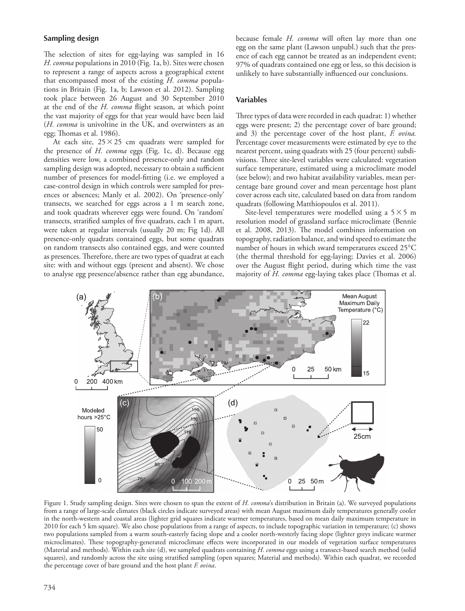### **Sampling design**

The selection of sites for egg-laying was sampled in 16 *H. comma* populations in 2010 (Fig. 1a, b). Sites were chosen to represent a range of aspects across a geographical extent that encompassed most of the existing *H. comma* populations in Britain (Fig. 1a, b; Lawson et al. 2012). Sampling took place between 26 August and 30 September 2010 at the end of the *H. comma* flight season, at which point the vast majority of eggs for that year would have been laid (*H. comma* is univoltine in the UK, and overwinters as an egg; Thomas et al. 1986).

At each site,  $25 \times 25$  cm quadrats were sampled for the presence of *H. comma* eggs (Fig. 1c, d). Because egg densities were low, a combined presence-only and random sampling design was adopted, necessary to obtain a sufficient number of presences for model-fitting (i.e. we employed a case-control design in which controls were sampled for presences or absences; Manly et al. 2002). On 'presence-only' transects, we searched for eggs across a 1 m search zone, and took quadrats wherever eggs were found. On 'random' transects, stratified samples of five quadrats, each 1 m apart, were taken at regular intervals (usually 20 m; Fig 1d). All presence-only quadrats contained eggs, but some quadrats on random transects also contained eggs, and were counted as presences. Therefore, there are two types of quadrat at each site: with and without eggs (present and absent). We chose to analyse egg presence/absence rather than egg abundance,

because female *H. comma* will often lay more than one egg on the same plant (Lawson unpubl.) such that the presence of each egg cannot be treated as an independent event; 97% of quadrats contained one egg or less, so this decision is unlikely to have substantially influenced our conclusions.

#### **Variables**

Three types of data were recorded in each quadrat: 1) whether eggs were present; 2) the percentage cover of bare ground; and 3) the percentage cover of the host plant, *F. ovina.* Percentage cover measurements were estimated by eye to the nearest percent, using quadrats with 25 (four percent) subdivisions. Three site-level variables were calculated: vegetation surface temperature, estimated using a microclimate model (see below); and two habitat availability variables, mean percentage bare ground cover and mean percentage host plant cover across each site, calculated based on data from random quadrats (following Matthiopoulos et al. 2011).

Site-level temperatures were modelled using a  $5 \times 5$  m resolution model of grassland surface microclimate (Bennie et al. 2008, 2013). The model combines information on topography, radiation balance, and wind speed to estimate the number of hours in which sward temperatures exceed 25°C (the thermal threshold for egg-laying; Davies et al. 2006) over the August flight period, during which time the vast majority of *H. comma* egg-laying takes place (Thomas et al.



Figure 1. Study sampling design. Sites were chosen to span the extent of *H. comma*'s distribution in Britain (a). We surveyed populations from a range of large-scale climates (black circles indicate surveyed areas) with mean August maximum daily temperatures generally cooler in the north-western and coastal areas (lighter grid squares indicate warmer temperatures, based on mean daily maximum temperature in 2010 for each 5 km square). We also chose populations from a range of aspects, to include topographic variation in temperature; (c) shows two populations sampled from a warm south-easterly facing slope and a cooler north-westerly facing slope (lighter greys indicate warmer microclimates). These topography-generated microclimate effects were incorporated in our models of vegetation surface temperatures (Material and methods). Within each site (d), we sampled quadrats containing *H. comma* eggs using a transect-based search method (solid squares), and randomly across the site using stratified sampling (open squares; Material and methods). Within each quadrat, we recorded the percentage cover of bare ground and the host plant *F. ovina*.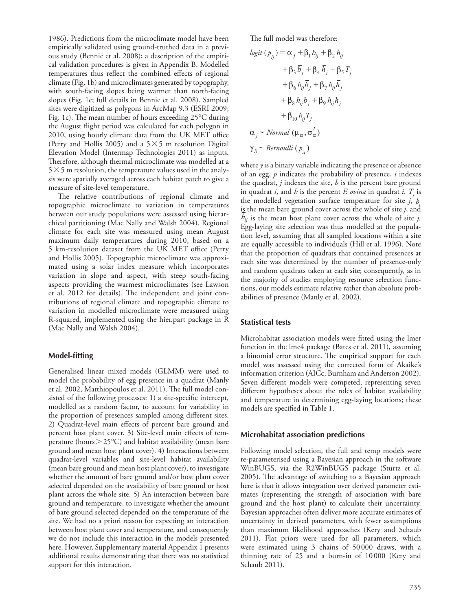1986). Predictions from the microclimate model have been empirically validated using ground-truthed data in a previous study (Bennie et al. 2008); a description of the empirical validation procedures is given in Appendix B. Modelled temperatures thus reflect the combined effects of regional climate (Fig. 1b) and microclimates generated by topography, with south-facing slopes being warmer than north-facing slopes (Fig. 1c; full details in Bennie et al. 2008). Sampled sites were digitized as polygons in ArcMap 9.3 (ESRI 2009; Fig. 1c). The mean number of hours exceeding 25°C during the August flight period was calculated for each polygon in 2010, using hourly climate data from the UK MET office (Perry and Hollis 2005) and a  $5 \times 5$  m resolution Digital Elevation Model (Intermap Technologies 2011) as inputs. Therefore, although thermal microclimate was modelled at a  $5 \times 5$  m resolution, the temperature values used in the analysis were spatially averaged across each habitat patch to give a measure of site-level temperature.

The relative contributions of regional climate and topographic microclimate to variation in temperatures between our study populations were assessed using hierarchical partitioning (Mac Nally and Walsh 2004). Regional climate for each site was measured using mean August maximum daily temperatures during 2010, based on a 5 km-resolution dataset from the UK MET office (Perry and Hollis 2005). Topographic microclimate was approximated using a solar index measure which incorporates variation in slope and aspect, with steep south-facing aspects providing the warmest microclimates (see Lawson et al. 2012 for details). The independent and joint contributions of regional climate and topographic climate to variation in modelled microclimate were measured using R-squared, implemented using the hier.part package in R (Mac Nally and Walsh 2004).

#### **Model-fitting**

Generalised linear mixed models (GLMM) were used to model the probability of egg presence in a quadrat (Manly et al. 2002, Matthiopoulos et al. 2011). The full model consisted of the following processes: 1) a site-specific intercept, modelled as a random factor, to account for variability in the proportion of presences sampled among different sites. 2) Quadrat-level main effects of percent bare ground and percent host plant cover. 3) Site-level main effects of temperature (hours  $>$  25 $\degree$ C) and habitat availability (mean bare ground and mean host plant cover). 4) Interactions between quadrat-level variables and site-level habitat availability (mean bare ground and mean host plant cover), to investigate whether the amount of bare ground and/or host plant cover selected depended on the availability of bare ground or host plant across the whole site. 5) An interaction between bare ground and temperature, to investigate whether the amount of bare ground selected depended on the temperature of the site. We had no a priori reason for expecting an interaction between host plant cover and temperature, and consequently we do not include this interaction in the models presented here. However, Supplementary material Appendix 1 presents additional results demonstrating that there was no statistical support for this interaction.

The full model was therefore:

$$
logit (p_{ij}) = \alpha_j + \beta_1 b_{ij} + \beta_2 h_{ij}
$$
  
+  $\beta_3 \overline{b}_j + \beta_4 \overline{h}_j + \beta_5 T_j$   
+  $\beta_6 b_{ij} \overline{b}_j + \beta_7 b_{ij} \overline{h}_j$   
+  $\beta_8 h_{ij} \overline{b}_j + \beta_9 h_{ij} \overline{h}_j$   
+  $\beta_{10} b_{ij} T_j$   
 $\alpha_j \sim Normal (\mu_\alpha, \sigma_\alpha^2)$   
 $\gamma_{ij} \sim Bernoulli (p_{ij})$ 

where *y* is a binary variable indicating the presence or absence of an egg, *p* indicates the probability of presence, *i* indexes the quadrat, *j* indexes the site, *b* is the percent bare ground in quadrat *i*, and *h* is the percent *F. ovina* in quadrat *i*.  $T_j$  is the modelled vegetation surface temperature for site *j*, *bi* is the mean bare ground cover across the whole of site *j*, and  $h_{ij}$  is the mean host plant cover across the whole of site *j*. Egg-laying site selection was thus modelled at the population level, assuming that all sampled locations within a site are equally accessible to individuals (Hill et al. 1996). Note that the proportion of quadrats that contained presences at each site was determined by the number of presence-only and random quadrats taken at each site; consequently, as in the majority of studies employing resource selection functions, our models estimate relative rather than absolute probabilities of presence (Manly et al. 2002).

#### **Statistical tests**

Microhabitat association models were fitted using the lmer function in the lme4 package (Bates et al. 2011), assuming a binomial error structure. The empirical support for each model was assessed using the corrected form of Akaike's information criterion (AICc; Burnham and Anderson 2002). Seven different models were competed, representing seven different hypotheses about the roles of habitat availability and temperature in determining egg-laying locations; these models are specified in Table 1.

#### **Microhabitat association predictions**

Following model selection, the full and temp models were re-parameterised using a Bayesian approach in the software WinBUGS, via the R2WinBUGS package (Sturtz et al. 2005). The advantage of switching to a Bayesian approach here is that it allows integration over derived parameter estimates (representing the strength of association with bare ground and the host plant) to calculate their uncertainty. Bayesian approaches often deliver more accurate estimates of uncertainty in derived parameters, with fewer assumptions than maximum likelihood approaches (Kery and Schaub 2011). Flat priors were used for all parameters, which were estimated using 3 chains of 50000 draws, with a thinning rate of 25 and a burn-in of 10000 (Kery and Schaub 2011).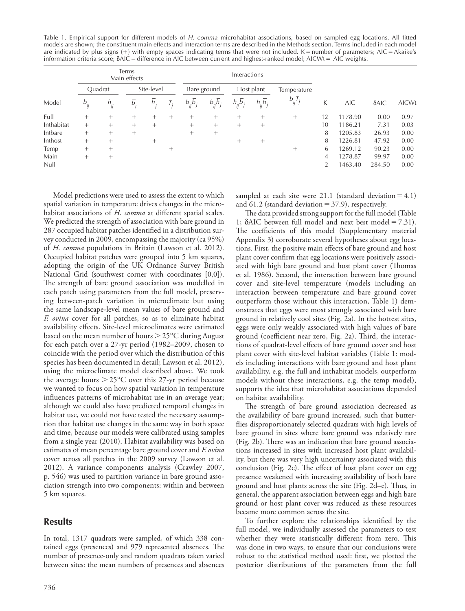Table 1. Empirical support for different models of *H. comma* microhabitat associations, based on sampled egg locations. All fitted models are shown; the constituent main effects and interaction terms are described in the Methods section. Terms included in each model are indicated by plus signs  $(+)$  with empty spaces indicating terms that were not included. K = number of parameters; AIC = Akaike's information criteria score;  $\delta$ AIC = difference in AIC between current and highest-ranked model; AICWt = AIC weights.

| Model      | <b>Terms</b><br>Main effects |          |                |        |        | Interactions              |                           |                           |                           |             |    |            |              |              |
|------------|------------------------------|----------|----------------|--------|--------|---------------------------|---------------------------|---------------------------|---------------------------|-------------|----|------------|--------------|--------------|
|            | Ouadrat                      |          | Site-level     |        |        | Bare ground               |                           | Host plant                |                           | Temperature |    |            |              |              |
|            | $b_{ij}$                     | $h_{ij}$ | b <sub>1</sub> | h      | I:     | $b_{ii} \overline{b}_{j}$ | $b_{ij}$ $\overline{h}_j$ | $h_{ii} \overline{b}_{j}$ | $h_{ii} \overline{h}_{j}$ | $b_{ij}T_j$ | K  | <b>AIC</b> | $\delta$ AIC | <b>AICWt</b> |
| Full       | $^{+}$                       | +        | $^{+}$         | $^{+}$ | $^+$   | $^+$                      | $^{+}$                    | $^+$                      | $^+$                      | $^{+}$      | 12 | 1178.90    | 0.00         | 0.97         |
| Inthabitat | $^{+}$                       | $^{+}$   | $^{+}$         | $^{+}$ |        | $^{+}$                    | $^{+}$                    | $^+$                      | $^{+}$                    |             | 10 | 1186.21    | 7.31         | 0.03         |
| Intbare    | $^{+}$                       | $^+$     | $+$            |        |        | $^{+}$                    | $^{+}$                    |                           |                           |             | 8  | 1205.83    | 26.93        | 0.00         |
| Inthost    | $^{+}$                       | $^+$     |                | $^{+}$ |        |                           |                           | $^+$                      | $^+$                      |             | 8  | 1226.81    | 47.92        | 0.00         |
| Temp       | $^{+}$                       |          |                |        | $^{+}$ |                           |                           |                           |                           | $^{+}$      | 6  | 1269.12    | 90.23        | 0.00         |
| Main       | $^{+}$                       | $^+$     |                |        |        |                           |                           |                           |                           |             | 4  | 1278.87    | 99.97        | 0.00         |
| Null       |                              |          |                |        |        |                           |                           |                           |                           |             | 2  | 1463.40    | 284.50       | 0.00         |

Model predictions were used to assess the extent to which spatial variation in temperature drives changes in the microhabitat associations of *H. comma* at different spatial scales. We predicted the strength of association with bare ground in 287 occupied habitat patches identified in a distribution survey conducted in 2009, encompassing the majority (ca 95%) of *H. comma* populations in Britain (Lawson et al. 2012). Occupied habitat patches were grouped into 5 km squares, adopting the origin of the UK Ordnance Survey British National Grid (southwest corner with coordinates [0,0]). The strength of bare ground association was modelled in each patch using parameters from the full model, preserving between-patch variation in microclimate but using the same landscape-level mean values of bare ground and *F. ovina* cover for all patches, so as to eliminate habitat availability effects. Site-level microclimates were estimated based on the mean number of hours 25°C during August for each patch over a 27-yr period (1982–2009, chosen to coincide with the period over which the distribution of this species has been documented in detail; Lawson et al. 2012), using the microclimate model described above. We took the average hours  $>$  25 $\degree$ C over this 27-yr period because we wanted to focus on how spatial variation in temperature influences patterns of microhabitat use in an average year; although we could also have predicted temporal changes in habitat use, we could not have tested the necessary assumption that habitat use changes in the same way in both space and time, because our models were calibrated using samples from a single year (2010). Habitat availability was based on estimates of mean percentage bare ground cover and *F. ovina* cover across all patches in the 2009 survey (Lawson et al. 2012). A variance components analysis (Crawley 2007, p. 546) was used to partition variance in bare ground association strength into two components: within and between 5 km squares.

## **Results**

In total, 1317 quadrats were sampled, of which 338 contained eggs (presences) and 979 represented absences. The number of presence-only and random quadrats taken varied between sites: the mean numbers of presences and absences sampled at each site were 21.1 (standard deviation  $=4.1$ ) and  $61.2$  (standard deviation = 37.9), respectively.

The data provided strong support for the full model (Table 1;  $\delta$ AIC between full model and next best model = 7.31). The coefficients of this model (Supplementary material Appendix 3) corroborate several hypotheses about egg locations. First, the positive main effects of bare ground and host plant cover confirm that egg locations were positively associated with high bare ground and host plant cover (Thomas et al. 1986). Second, the interaction between bare ground cover and site-level temperature (models including an interaction between temperature and bare ground cover outperform those without this interaction, Table 1) demonstrates that eggs were most strongly associated with bare ground in relatively cool sites (Fig. 2a). In the hottest sites, eggs were only weakly associated with high values of bare ground (coefficient near zero, Fig. 2a). Third, the interactions of quadrat-level effects of bare ground cover and host plant cover with site-level habitat variables (Table 1: models including interactions with bare ground and host plant availability, e.g. the full and inthabitat models, outperform models without these interactions, e.g. the temp model), supports the idea that microhabitat associations depended on habitat availability.

The strength of bare ground association decreased as the availability of bare ground increased, such that butterflies disproportionately selected quadrats with high levels of bare ground in sites where bare ground was relatively rare (Fig. 2b). There was an indication that bare ground associations increased in sites with increased host plant availability, but there was very high uncertainty associated with this conclusion (Fig. 2c). The effect of host plant cover on egg presence weakened with increasing availability of both bare ground and host plants across the site (Fig. 2d–e). Thus, in general, the apparent association between eggs and high bare ground or host plant cover was reduced as these resources became more common across the site.

To further explore the relationships identified by the full model, we individually assessed the parameters to test whether they were statistically different from zero. This was done in two ways, to ensure that our conclusions were robust to the statistical method used: first, we plotted the posterior distributions of the parameters from the full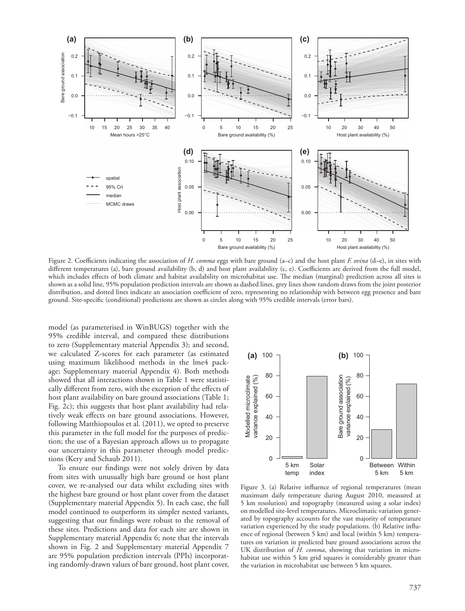

Figure 2. Coefficients indicating the association of *H. comma* eggs with bare ground (a–c) and the host plant *F. ovina* (d–e), in sites with different temperatures (a), bare ground availability (b, d) and host plant availability (c, e). Coefficients are derived from the full model, which includes effects of both climate and habitat availability on microhabitat use. The median (marginal) prediction across all sites is shown as a solid line, 95% population prediction intervals are shown as dashed lines, grey lines show random draws from the joint posterior distribution, and dotted lines indicate an association coefficient of zero, representing no relationship with between egg presence and bare ground. Site-specific (conditional) predictions are shown as circles along with 95% credible intervals (error bars).

model (as parameterised in WinBUGS) together with the 95% credible interval, and compared these distributions to zero (Supplementary material Appendix 3); and second, we calculated Z-scores for each parameter (as estimated using maximum likelihood methods in the lme4 package; Supplementary material Appendix 4). Both methods showed that all interactions shown in Table 1 were statistically different from zero, with the exception of the effects of host plant availability on bare ground associations (Table 1; Fig. 2c); this suggests that host plant availability had relatively weak effects on bare ground associations. However, following Matthiopoulos et al. (2011), we opted to preserve this parameter in the full model for the purposes of prediction; the use of a Bayesian approach allows us to propagate our uncertainty in this parameter through model predictions (Kery and Schaub 2011).

To ensure our findings were not solely driven by data from sites with unusually high bare ground or host plant cover, we re-analysed our data whilst excluding sites with the highest bare ground or host plant cover from the dataset (Supplementary material Appendix 5). In each case, the full model continued to outperform its simpler nested variants, suggesting that our findings were robust to the removal of these sites. Predictions and data for each site are shown in Supplementary material Appendix 6; note that the intervals shown in Fig. 2 and Supplementary material Appendix 7 are 95% population prediction intervals (PPIs) incorporating randomly-drawn values of bare ground, host plant cover,



Figure 3. (a) Relative influence of regional temperatures (mean maximum daily temperature during August 2010, measured at 5 km resolution) and topography (measured using a solar index) on modelled site-level temperatures. Microclimatic variation generated by topography accounts for the vast majority of temperature variation experienced by the study populations. (b) Relative influence of regional (between 5 km) and local (within 5 km) temperatures on variation in predicted bare ground associations across the UK distribution of *H. comma*, showing that variation in microhabitat use within 5 km grid squares is considerably greater than the variation in microhabitat use between 5 km squares.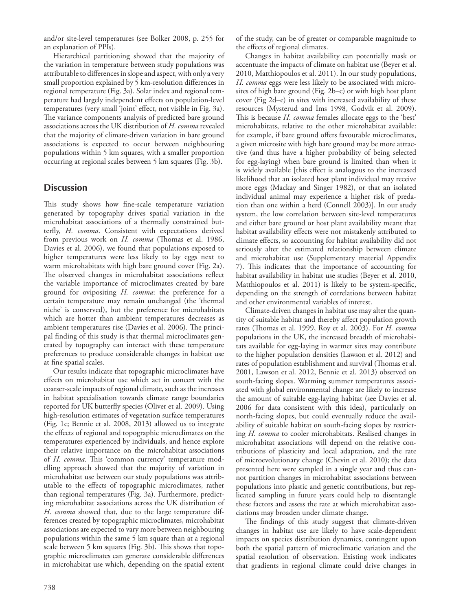and/or site-level temperatures (see Bolker 2008, p. 255 for an explanation of PPIs).

Hierarchical partitioning showed that the majority of the variation in temperature between study populations was attributable to differences in slope and aspect, with only a very small proportion explained by 5 km-resolution differences in regional temperature (Fig. 3a). Solar index and regional temperature had largely independent effects on population-level temperatures (very small 'joint' effect, not visible in Fig. 3a). The variance components analysis of predicted bare ground associations across the UK distribution of *H. comma* revealed that the majority of climate-driven variation in bare ground associations is expected to occur between neighbouring populations within 5 km squares, with a smaller proportion occurring at regional scales between 5 km squares (Fig. 3b).

## **Discussion**

This study shows how fine-scale temperature variation generated by topography drives spatial variation in the microhabitat associations of a thermally constrained butterfly, *H. comma*. Consistent with expectations derived from previous work on *H. comma* (Thomas et al. 1986, Davies et al. 2006), we found that populations exposed to higher temperatures were less likely to lay eggs next to warm microhabitats with high bare ground cover (Fig. 2a). The observed changes in microhabitat associations reflect the variable importance of microclimates created by bare ground for ovipositing *H. comma*: the preference for a certain temperature may remain unchanged (the 'thermal niche' is conserved), but the preference for microhabitats which are hotter than ambient temperatures decreases as ambient temperatures rise (Davies et al. 2006). The principal finding of this study is that thermal microclimates generated by topography can interact with these temperature preferences to produce considerable changes in habitat use at fine spatial scales.

Our results indicate that topographic microclimates have effects on microhabitat use which act in concert with the coarser-scale impacts of regional climate, such as the increases in habitat specialisation towards climate range boundaries reported for UK butterfly species (Oliver et al. 2009). Using high-resolution estimates of vegetation surface temperatures (Fig. 1c; Bennie et al. 2008, 2013) allowed us to integrate the effects of regional and topographic microclimates on the temperatures experienced by individuals, and hence explore their relative importance on the microhabitat associations of *H. comma*. This 'common currency' temperature modelling approach showed that the majority of variation in microhabitat use between our study populations was attributable to the effects of topographic microclimates, rather than regional temperatures (Fig. 3a). Furthermore, predicting microhabitat associations across the UK distribution of *H. comma* showed that, due to the large temperature differences created by topographic microclimates, microhabitat associations are expected to vary more between neighbouring populations within the same 5 km square than at a regional scale between 5 km squares (Fig. 3b). This shows that topographic microclimates can generate considerable differences in microhabitat use which, depending on the spatial extent of the study, can be of greater or comparable magnitude to the effects of regional climates.

Changes in habitat availability can potentially mask or accentuate the impacts of climate on habitat use (Beyer et al. 2010, Matthiopoulos et al. 2011). In our study populations, *H. comma* eggs were less likely to be associated with microsites of high bare ground (Fig. 2b–c) or with high host plant cover (Fig 2d–e) in sites with increased availability of these resources (Mysterud and Ims 1998, Godvik et al. 2009). This is because *H. comma* females allocate eggs to the 'best' microhabitats, relative to the other microhabitat available: for example, if bare ground offers favourable microclimates, a given microsite with high bare ground may be more attractive (and thus have a higher probability of being selected for egg-laying) when bare ground is limited than when it is widely available [this effect is analogous to the increased likelihood that an isolated host plant individual may receive more eggs (Mackay and Singer 1982), or that an isolated individual animal may experience a higher risk of predation than one within a herd (Connell 2003)]. In our study system, the low correlation between site-level temperatures and either bare ground or host plant availability meant that habitat availability effects were not mistakenly attributed to climate effects, so accounting for habitat availability did not seriously alter the estimated relationship between climate and microhabitat use (Supplementary material Appendix 7). This indicates that the importance of accounting for habitat availability in habitat use studies (Beyer et al. 2010, Matthiopoulos et al. 2011) is likely to be system-specific, depending on the strength of correlations between habitat and other environmental variables of interest.

Climate-driven changes in habitat use may alter the quantity of suitable habitat and thereby affect population growth rates (Thomas et al. 1999, Roy et al. 2003). For *H. comma* populations in the UK, the increased breadth of microhabitats available for egg-laying in warmer sites may contribute to the higher population densities (Lawson et al. 2012) and rates of population establishment and survival (Thomas et al. 2001, Lawson et al. 2012, Bennie et al. 2013) observed on south-facing slopes. Warming summer temperatures associated with global environmental change are likely to increase the amount of suitable egg-laying habitat (see Davies et al. 2006 for data consistent with this idea), particularly on north-facing slopes, but could eventually reduce the availability of suitable habitat on south-facing slopes by restricting *H. comma* to cooler microhabitats. Realised changes in microhabitat associations will depend on the relative contributions of plasticity and local adaptation, and the rate of microevolutionary change (Chevin et al. 2010); the data presented here were sampled in a single year and thus cannot partition changes in microhabitat associations between populations into plastic and genetic contributions, but replicated sampling in future years could help to disentangle these factors and assess the rate at which microhabitat associations may broaden under climate change.

The findings of this study suggest that climate-driven changes in habitat use are likely to have scale-dependent impacts on species distribution dynamics, contingent upon both the spatial pattern of microclimatic variation and the spatial resolution of observation. Existing work indicates that gradients in regional climate could drive changes in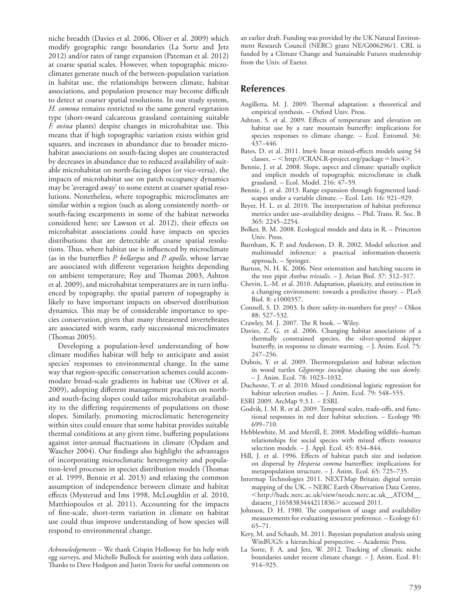niche breadth (Davies et al. 2006, Oliver et al. 2009) which modify geographic range boundaries (La Sorte and Jetz 2012) and/or rates of range expansion (Pateman et al. 2012) at coarse spatial scales. However, when topographic microclimates generate much of the between-population variation in habitat use, the relationships between climate, habitat associations, and population presence may become difficult to detect at coarser spatial resolutions. In our study system, *H. comma* remains restricted to the same general vegetation type (short-sward calcareous grassland containing suitable *F. ovina* plants) despite changes in microhabitat use. This means that if high topographic variation exists within grid squares, and increases in abundance due to broader microhabitat associations on south-facing slopes are counteracted by decreases in abundance due to reduced availability of suitable microhabitat on north-facing slopes (or vice-versa), the impacts of microhabitat use on patch occupancy dynamics may be 'averaged away' to some extent at coarser spatial resolutions. Nonetheless, where topographic microclimates are similar within a region (such as along consistently north- or south-facing escarpments in some of the habitat networks considered here; see Lawson et al. 2012), their effects on microhabitat associations could have impacts on species distributions that are detectable at coarse spatial resolutions. Thus, where habitat use is influenced by microclimate (as in the butterflies *P. bellargus* and *P. apollo*, whose larvae are associated with different vegetation heights depending on ambient temperature; Roy and Thomas 2003, Ashton et al. 2009), and microhabitat temperatures are in turn influenced by topography, the spatial pattern of topography is likely to have important impacts on observed distribution dynamics. This may be of considerable importance to species conservation, given that many threatened invertebrates are associated with warm, early successional microclimates (Thomas 2005).

Developing a population-level understanding of how climate modifies habitat will help to anticipate and assist species' responses to environmental change. In the same way that region-specific conservation schemes could accommodate broad-scale gradients in habitat use (Oliver et al. 2009), adopting different management practices on northand south-facing slopes could tailor microhabitat availability to the differing requirements of populations on those slopes. Similarly, promoting microclimatic heterogeneity within sites could ensure that some habitat provides suitable thermal conditions at any given time, buffering populations against inter-annual fluctuations in climate (Opdam and Wascher 2004). Our findings also highlight the advantages of incorporating microclimatic heterogeneity and population-level processes in species distribution models (Thomas et al. 1999, Bennie et al. 2013) and relaxing the common assumption of independence between climate and habitat effects (Mysterud and Ims 1998, McLoughlin et al. 2010, Matthiopoulos et al. 2011). Accounting for the impacts of fine-scale, short-term variation in climate on habitat use could thus improve understanding of how species will respond to environmental change.

*Acknowledgements –* We thank Crispin Holloway for his help with egg surveys, and Michelle Bullock for assisting with data collation. Thanks to Dave Hodgson and Justin Travis for useful comments on

an earlier draft. Funding was provided by the UK Natural Environment Research Council (NERC) grant NE/G006296/1. CRL is funded by a Climate Change and Sustainable Futures studentship from the Univ. of Exeter.

## **References**

- Angilletta, M. J. 2009. Thermal adaptation: a theoretical and empirical synthesis. – Oxford Univ. Press.
- Ashton, S. et al. 2009. Effects of temperature and elevation on habitat use by a rare mountain butterfly: implications for species responses to climate change. – Ecol. Entomol. 34: 437–446.
- Bates, D. et al. 2011. lme4: linear mixed-effects models using S4  $classes. -$  < http://CRAN.R-project.org/package = lme4>.
- Bennie, J. et al. 2008. Slope, aspect and climate: spatially explicit and implicit models of topographic microclimate in chalk grassland. – Ecol. Model. 216: 47–59.
- Bennie, J. et al. 2013. Range expansion through fragmented landscapes under a variable climate. – Ecol. Lett. 16: 921–929.
- Beyer, H. L. et al. 2010. The interpretation of habitat preference metrics under use–availability designs. – Phil. Trans. R. Soc. B 365: 2245–2254.
- Bolker, B. M. 2008. Ecological models and data in R. Princeton Univ. Press.
- Burnham, K. P. and Anderson, D. R. 2002. Model selection and multimodel inference: a practical information-theoretic approach. – Springer.
- Burton, N. H. K. 2006. Nest orientation and hatching success in the tree pipit *Anthus trivialis*. – J. Avian Biol. 37: 312–317.
- Chevin, L.-M. et al. 2010. Adaptation, plasticity, and extinction in a changing environment: towards a predictive theory. – PLoS Biol. 8: e1000357.
- Connell, S. D. 2003. Is there safety-in-numbers for prey? Oikos 88: 527–532.
- Crawley, M. J. 2007. The R book. Wiley.
- Davies, Z. G. et al. 2006. Changing habitat associations of a thermally constrained species, the silver-spotted skipper butterfly, in response to climate warming. – J. Anim. Ecol. 75: 247–256.
- Dubois, Y. et al. 2009. Thermoregulation and habitat selection in wood turtles *Glyptemys insculpta*: chasing the sun slowly. – J. Anim. Ecol. 78: 1023–1032.
- Duchesne, T. et al. 2010. Mixed conditional logistic regression for habitat selection studies. – J. Anim. Ecol. 79: 548–555.
- ESRI 2009. ArcMap 9.3.1. ESRI.
- Godvik, I. M. R. et al. 2009. Temporal scales, trade-offs, and functional responses in red deer habitat selection. – Ecology 90: 699–710.
- Hebblewhite, M. and Merrill, E. 2008. Modelling wildlife–human relationships for social species with mixed effects resource selection models. – J. Appl. Ecol. 45: 834–844.
- Hill, J. et al. 1996. Effects of habitat patch size and isolation on dispersal by *Hesperia comma* butterflies: implications for metapopulation structure. – J. Anim. Ecol. 65: 725–735.
- Intermap Technologies 2011. NEXTMap Britain: digital terrain mapping of the UK. – NERC Earth Observation Data Centre, http://badc.nerc.ac.uk/view/neodc.nerc.ac.uk\_\_ATOM\_\_ dataent\_11658383444211836> accessed 2011.
- Johnson, D. H. 1980. The comparison of usage and availability measurements for evaluating resource preference. – Ecology 61: 65–71.
- Kery, M. and Schaub, M. 2011. Bayesian population analysis using WinBUGS: a hierarchical perspective. – Academic Press.
- La Sorte, F. A. and Jetz, W. 2012. Tracking of climatic niche boundaries under recent climate change. – J. Anim. Ecol. 81: 914–925.